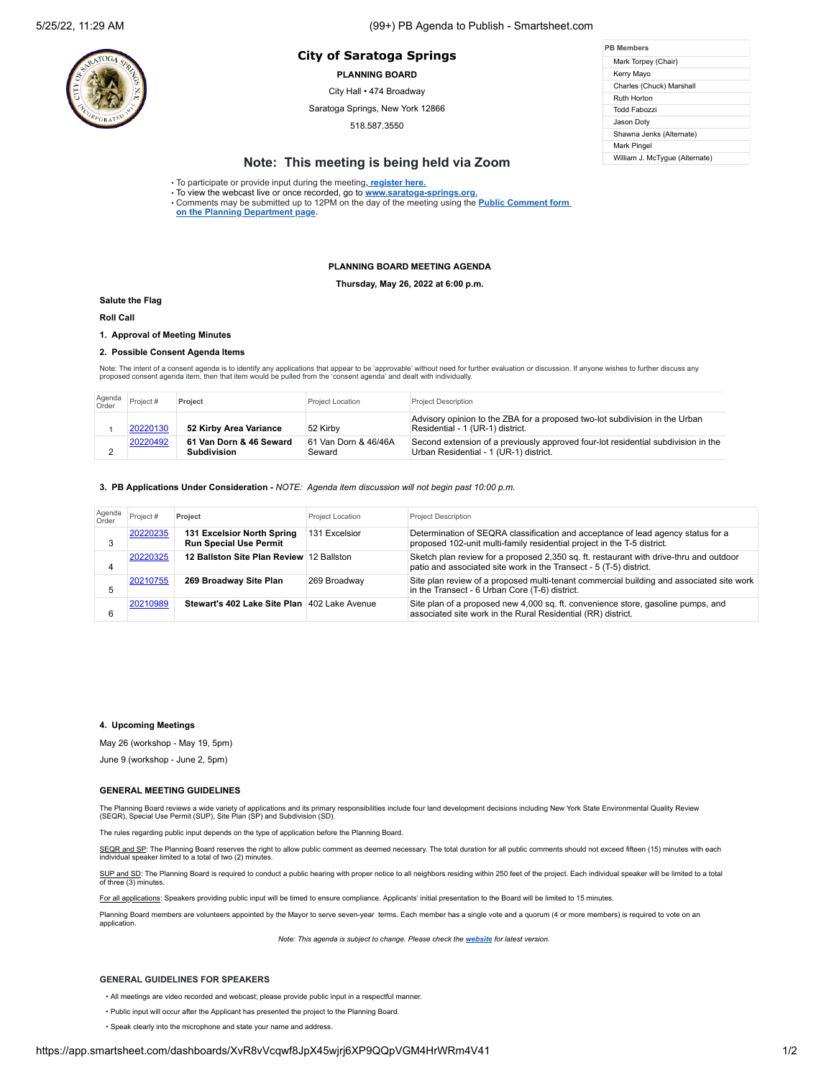# **PB Members City of Saratoga Springs**

**PLANNING BOARD**

City Hall • 474 Broadway

Saratoga Springs, New York 12866

518.587.3550

| <b>PR Members</b>   |                                |  |  |
|---------------------|--------------------------------|--|--|
| Mark Torpey (Chair) |                                |  |  |
| Kerry Mayo          |                                |  |  |
|                     | Charles (Chuck) Marshall       |  |  |
| Ruth Horton         |                                |  |  |
|                     | Todd Fabozzi                   |  |  |
| Jason Dotv          |                                |  |  |
|                     | Shawna Jenks (Alternate)       |  |  |
| Mark Pingel         |                                |  |  |
|                     | William J. McTyque (Alternate) |  |  |

# **Note: This meeting is being held via Zoom**

• To participate or provide input during the meeting**[, register here.](https://us02web.zoom.us/webinar/register/WN_iec8KIMkQy2yyx3kAr-XEQ)**

• To view the webcast live or once recorded, go to **[www.saratoga-springs.org](http://www.saratoga-springs.org/).** • Comments may be submitted [up to 12PM on the day of the meeting using the](https://saratoga-springs.org/FormCenter/Planning-Board-8/Land-Use-Board-Agenda-Public-Comment-95) **Public Comment form on the Planning Department page.**

### **PLANNING BOARD MEETING AGENDA**

**Thursday, May 26, 2022 at 6:00 p.m.**

#### **Salute the Flag**

**Roll Call**

# **1. Approval of Meeting Minutes**

**2. Possible Consent Agenda Items**

Note: The intent of a consent agenda is to identify any applications that appear to be 'approvable' without need for further evaluation or discussion. If anyone wishes to further discuss any<br>proposed consent agenda item, t

| Agenda<br>Order | Project # | Project                                | <b>Project Location</b>        | <b>Project Description</b>                                                                                                  |
|-----------------|-----------|----------------------------------------|--------------------------------|-----------------------------------------------------------------------------------------------------------------------------|
|                 | 20220130  | 52 Kirby Area Variance                 | 52 Kirby                       | Advisory opinion to the ZBA for a proposed two-lot subdivision in the Urban<br>Residential - 1 (UR-1) district.             |
|                 | 20220492  | 61 Van Dorn & 46 Seward<br>Subdivision | 61 Van Dorn & 46/46A<br>Seward | Second extension of a previously approved four-lot residential subdivision in the<br>Urban Residential - 1 (UR-1) district. |

**3. PB Applications Under Consideration -** *NOTE: Agenda item discussion will not begin past 10:00 p.m.*

| Agenda<br>Order | Project # | Project                                                     | <b>Project Location</b> | <b>Project Description</b>                                                                                                                                   |
|-----------------|-----------|-------------------------------------------------------------|-------------------------|--------------------------------------------------------------------------------------------------------------------------------------------------------------|
|                 | 20220235  | 131 Excelsior North Spring<br><b>Run Special Use Permit</b> | 131 Excelsior           | Determination of SEQRA classification and acceptance of lead agency status for a<br>proposed 102-unit multi-family residential project in the T-5 district.  |
| 4               | 20220325  | 12 Ballston Site Plan Review 12 Ballston                    |                         | Sketch plan review for a proposed 2,350 sq. ft. restaurant with drive-thru and outdoor<br>patio and associated site work in the Transect - 5 (T-5) district. |
| 5               | 20210755  | 269 Broadway Site Plan                                      | 269 Broadway            | Site plan review of a proposed multi-tenant commercial building and associated site work<br>in the Transect - 6 Urban Core (T-6) district.                   |
| 6               | 20210989  | Stewart's 402 Lake Site Plan 402 Lake Avenue                |                         | Site plan of a proposed new 4,000 sq. ft. convenience store, gasoline pumps, and<br>associated site work in the Rural Residential (RR) district.             |

## **4. Upcoming Meetings**

May 26 (workshop - May 19, 5pm)

June 9 (workshop - June 2, 5pm)

### **GENERAL MEETING GUIDELINES**

The Planning Board reviews a wide variety of applications and its primary responsibilities include four land development decisions including New York State Environmental Quality Review<br>(SEQR), Special Use Permit (SUP), Sit

The rules regarding public input depends on the type of application before the Planning Board.

SEQR and SP: The Planning Board reserves the right to allow public comment as deemed necessary. The total duration for all public comments should not exceed fifteen (15) minutes with each individual speaker limited to a total of two (2) minutes.

SUP and SD: The Planning Board is required to conduct a public hearing with proper notice to all neighbors residing within 250 feet of the project. Each individual speaker will be limited to a total of three (3) minutes.

For all applications: Speakers providing public input will be timed to ensure compliance. Applicants' initial presentation to the Board will be limited to 15 minutes.

Planning Board members are volunteers appointed by the Mayor to serve seven-year terms. Each member has a single vote and a quorum (4 or more members) is required to vote on an application.

*Note: This agenda is subject to change. Please check the [website](https://saratoga-springs.org/AgendaCenter/ViewFile/Agenda/2604?html=true) for latest version.*

#### **GENERAL GUIDELINES FOR SPEAKERS**

• All meetings are video recorded and webcast; please provide public input in a respectful manner.

• Public input will occur after the Applicant has presented the project to the Planning Board.

• Speak clearly into the microphone and state your name and address.